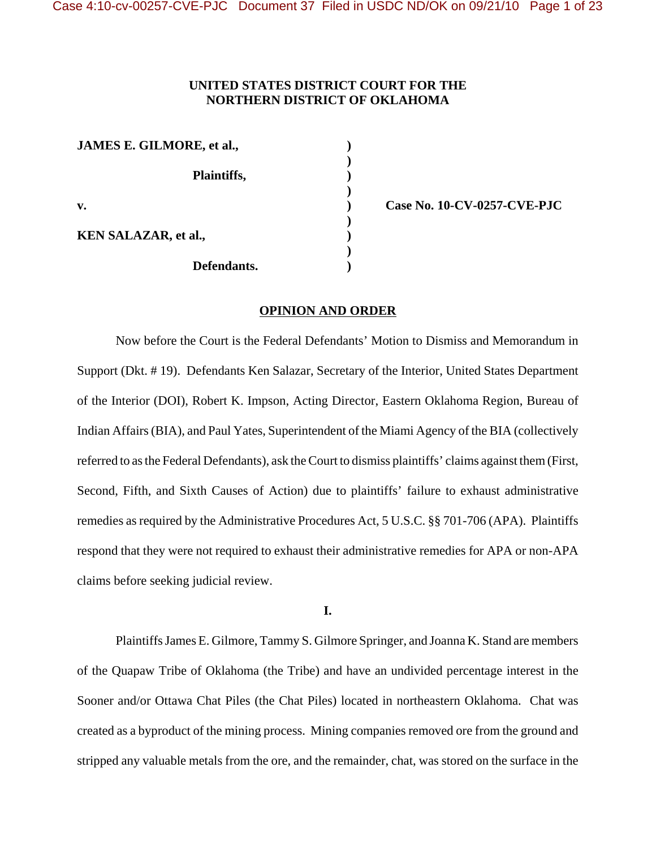# **UNITED STATES DISTRICT COURT FOR THE NORTHERN DISTRICT OF OKLAHOMA**

| JAMES E. GILMORE, et al.,   |  |
|-----------------------------|--|
| Plaintiffs,                 |  |
| v.                          |  |
| <b>KEN SALAZAR, et al.,</b> |  |
| Defendants.                 |  |

**v. ) Case No. 10-CV-0257-CVE-PJC**

#### **OPINION AND ORDER**

Now before the Court is the Federal Defendants' Motion to Dismiss and Memorandum in Support (Dkt. # 19). Defendants Ken Salazar, Secretary of the Interior, United States Department of the Interior (DOI), Robert K. Impson, Acting Director, Eastern Oklahoma Region, Bureau of Indian Affairs (BIA), and Paul Yates, Superintendent of the Miami Agency of the BIA (collectively referred to as the Federal Defendants), ask the Court to dismiss plaintiffs' claims against them (First, Second, Fifth, and Sixth Causes of Action) due to plaintiffs' failure to exhaust administrative remedies as required by the Administrative Procedures Act, 5 U.S.C. §§ 701-706 (APA). Plaintiffs respond that they were not required to exhaust their administrative remedies for APA or non-APA claims before seeking judicial review.

**I.**

Plaintiffs James E. Gilmore, Tammy S. Gilmore Springer, and Joanna K. Stand are members of the Quapaw Tribe of Oklahoma (the Tribe) and have an undivided percentage interest in the Sooner and/or Ottawa Chat Piles (the Chat Piles) located in northeastern Oklahoma. Chat was created as a byproduct of the mining process. Mining companies removed ore from the ground and stripped any valuable metals from the ore, and the remainder, chat, was stored on the surface in the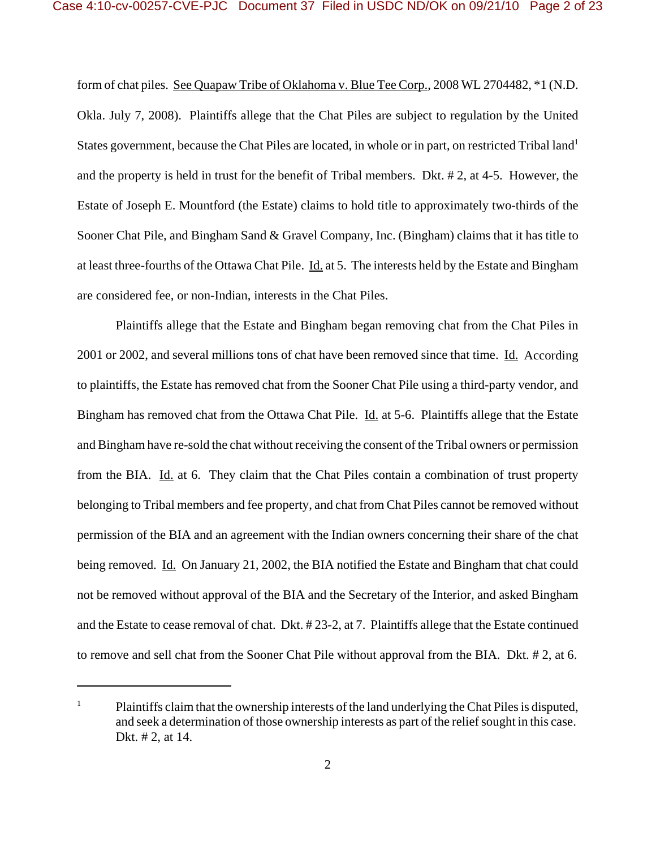form of chat piles. See Quapaw Tribe of Oklahoma v. Blue Tee Corp., 2008 WL 2704482, \*1 (N.D. Okla. July 7, 2008). Plaintiffs allege that the Chat Piles are subject to regulation by the United States government, because the Chat Piles are located, in whole or in part, on restricted Tribal land<sup>1</sup> and the property is held in trust for the benefit of Tribal members. Dkt. # 2, at 4-5. However, the Estate of Joseph E. Mountford (the Estate) claims to hold title to approximately two-thirds of the Sooner Chat Pile, and Bingham Sand & Gravel Company, Inc. (Bingham) claims that it has title to at least three-fourths of the Ottawa Chat Pile. Id. at 5. The interests held by the Estate and Bingham are considered fee, or non-Indian, interests in the Chat Piles.

Plaintiffs allege that the Estate and Bingham began removing chat from the Chat Piles in 2001 or 2002, and several millions tons of chat have been removed since that time. Id. According to plaintiffs, the Estate has removed chat from the Sooner Chat Pile using a third-party vendor, and Bingham has removed chat from the Ottawa Chat Pile. Id. at 5-6. Plaintiffs allege that the Estate and Bingham have re-sold the chat without receiving the consent of the Tribal owners or permission from the BIA. Id. at 6. They claim that the Chat Piles contain a combination of trust property belonging to Tribal members and fee property, and chat from Chat Piles cannot be removed without permission of the BIA and an agreement with the Indian owners concerning their share of the chat being removed. Id. On January 21, 2002, the BIA notified the Estate and Bingham that chat could not be removed without approval of the BIA and the Secretary of the Interior, and asked Bingham and the Estate to cease removal of chat. Dkt. # 23-2, at 7. Plaintiffs allege that the Estate continued to remove and sell chat from the Sooner Chat Pile without approval from the BIA. Dkt. # 2, at 6.

 $1$  Plaintiffs claim that the ownership interests of the land underlying the Chat Piles is disputed, and seek a determination of those ownership interests as part of the relief sought in this case. Dkt. # 2, at 14.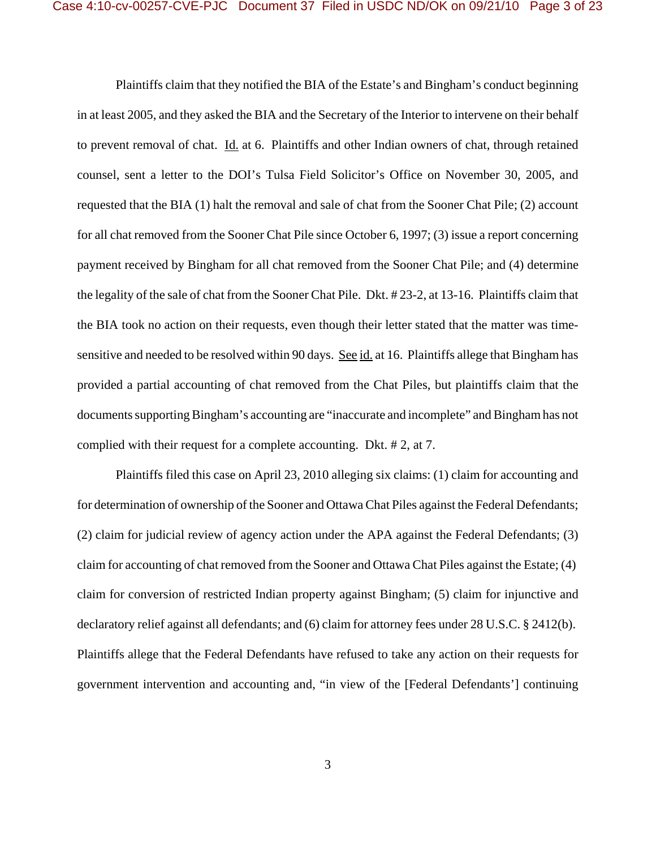Plaintiffs claim that they notified the BIA of the Estate's and Bingham's conduct beginning in at least 2005, and they asked the BIA and the Secretary of the Interior to intervene on their behalf to prevent removal of chat. Id. at 6. Plaintiffs and other Indian owners of chat, through retained counsel, sent a letter to the DOI's Tulsa Field Solicitor's Office on November 30, 2005, and requested that the BIA (1) halt the removal and sale of chat from the Sooner Chat Pile; (2) account for all chat removed from the Sooner Chat Pile since October 6, 1997; (3) issue a report concerning payment received by Bingham for all chat removed from the Sooner Chat Pile; and (4) determine the legality of the sale of chat from the Sooner Chat Pile. Dkt. # 23-2, at 13-16. Plaintiffs claim that the BIA took no action on their requests, even though their letter stated that the matter was timesensitive and needed to be resolved within 90 days. See id. at 16. Plaintiffs allege that Bingham has provided a partial accounting of chat removed from the Chat Piles, but plaintiffs claim that the documents supporting Bingham's accounting are "inaccurate and incomplete" and Bingham has not complied with their request for a complete accounting. Dkt. # 2, at 7.

Plaintiffs filed this case on April 23, 2010 alleging six claims: (1) claim for accounting and for determination of ownership of the Sooner and Ottawa Chat Piles against the Federal Defendants; (2) claim for judicial review of agency action under the APA against the Federal Defendants; (3) claim for accounting of chat removed from the Sooner and Ottawa Chat Piles against the Estate; (4) claim for conversion of restricted Indian property against Bingham; (5) claim for injunctive and declaratory relief against all defendants; and (6) claim for attorney fees under 28 U.S.C. § 2412(b). Plaintiffs allege that the Federal Defendants have refused to take any action on their requests for government intervention and accounting and, "in view of the [Federal Defendants'] continuing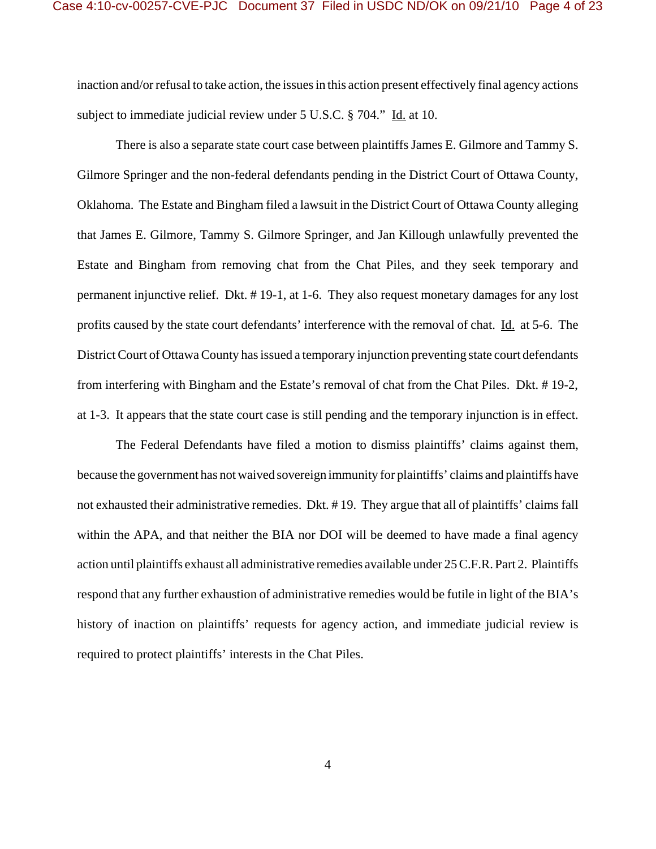inaction and/or refusal to take action, the issues in this action present effectively final agency actions subject to immediate judicial review under 5 U.S.C. § 704." Id. at 10.

There is also a separate state court case between plaintiffs James E. Gilmore and Tammy S. Gilmore Springer and the non-federal defendants pending in the District Court of Ottawa County, Oklahoma. The Estate and Bingham filed a lawsuit in the District Court of Ottawa County alleging that James E. Gilmore, Tammy S. Gilmore Springer, and Jan Killough unlawfully prevented the Estate and Bingham from removing chat from the Chat Piles, and they seek temporary and permanent injunctive relief. Dkt. # 19-1, at 1-6. They also request monetary damages for any lost profits caused by the state court defendants' interference with the removal of chat. Id. at 5-6. The District Court of Ottawa County has issued a temporary injunction preventing state court defendants from interfering with Bingham and the Estate's removal of chat from the Chat Piles. Dkt. # 19-2, at 1-3. It appears that the state court case is still pending and the temporary injunction is in effect.

The Federal Defendants have filed a motion to dismiss plaintiffs' claims against them, because the government has not waived sovereign immunity for plaintiffs' claims and plaintiffs have not exhausted their administrative remedies. Dkt. # 19. They argue that all of plaintiffs' claims fall within the APA, and that neither the BIA nor DOI will be deemed to have made a final agency action until plaintiffs exhaust all administrative remedies available under 25 C.F.R. Part 2. Plaintiffs respond that any further exhaustion of administrative remedies would be futile in light of the BIA's history of inaction on plaintiffs' requests for agency action, and immediate judicial review is required to protect plaintiffs' interests in the Chat Piles.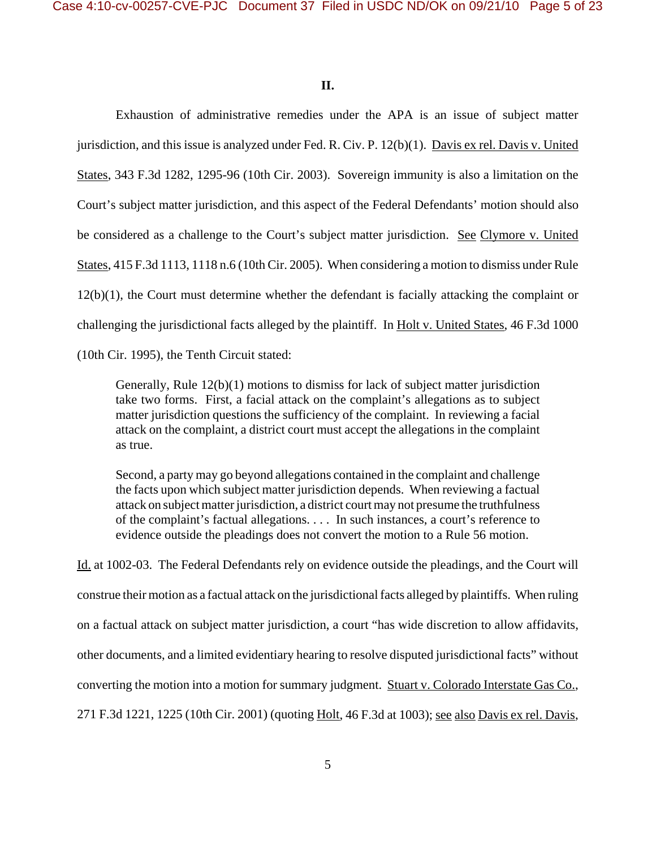**II.**

Exhaustion of administrative remedies under the APA is an issue of subject matter jurisdiction, and this issue is analyzed under Fed. R. Civ. P. 12(b)(1). Davis ex rel. Davis v. United States, 343 F.3d 1282, 1295-96 (10th Cir. 2003). Sovereign immunity is also a limitation on the Court's subject matter jurisdiction, and this aspect of the Federal Defendants' motion should also be considered as a challenge to the Court's subject matter jurisdiction. See Clymore v. United States, 415 F.3d 1113, 1118 n.6 (10th Cir. 2005). When considering a motion to dismiss under Rule 12(b)(1), the Court must determine whether the defendant is facially attacking the complaint or challenging the jurisdictional facts alleged by the plaintiff. In Holt v. United States, 46 F.3d 1000

(10th Cir. 1995), the Tenth Circuit stated:

Generally, Rule 12(b)(1) motions to dismiss for lack of subject matter jurisdiction take two forms. First, a facial attack on the complaint's allegations as to subject matter jurisdiction questions the sufficiency of the complaint. In reviewing a facial attack on the complaint, a district court must accept the allegations in the complaint as true.

Second, a party may go beyond allegations contained in the complaint and challenge the facts upon which subject matter jurisdiction depends. When reviewing a factual attack on subject matter jurisdiction, a district court may not presume the truthfulness of the complaint's factual allegations. . . . In such instances, a court's reference to evidence outside the pleadings does not convert the motion to a Rule 56 motion.

Id. at 1002-03. The Federal Defendants rely on evidence outside the pleadings, and the Court will construe their motion as a factual attack on the jurisdictional facts alleged by plaintiffs. When ruling on a factual attack on subject matter jurisdiction, a court "has wide discretion to allow affidavits, other documents, and a limited evidentiary hearing to resolve disputed jurisdictional facts" without converting the motion into a motion for summary judgment. Stuart v. Colorado Interstate Gas Co., 271 F.3d 1221, 1225 (10th Cir. 2001) (quoting Holt, 46 F.3d at 1003); see also Davis ex rel. Davis,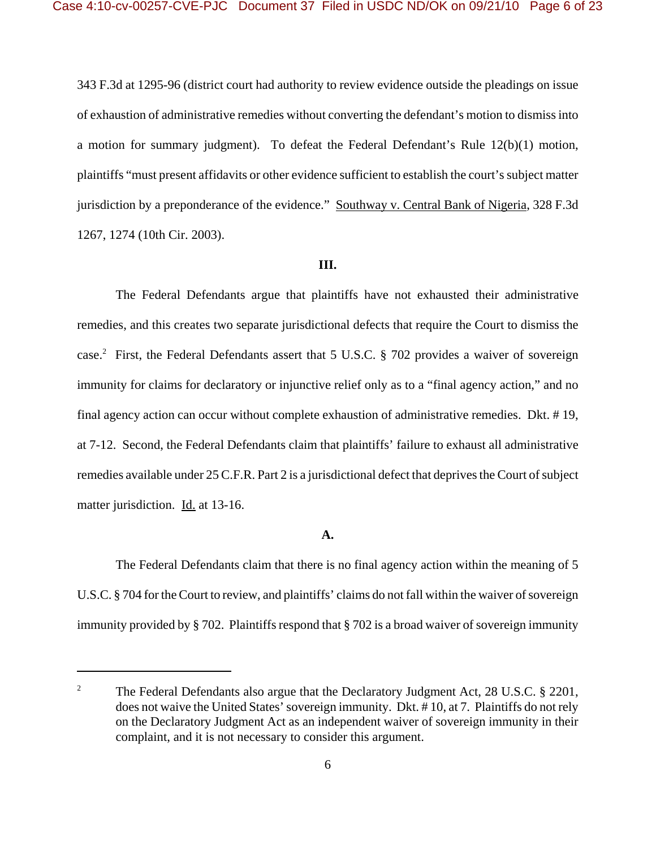343 F.3d at 1295-96 (district court had authority to review evidence outside the pleadings on issue of exhaustion of administrative remedies without converting the defendant's motion to dismiss into a motion for summary judgment). To defeat the Federal Defendant's Rule 12(b)(1) motion, plaintiffs "must present affidavits or other evidence sufficient to establish the court's subject matter jurisdiction by a preponderance of the evidence." Southway v. Central Bank of Nigeria, 328 F.3d 1267, 1274 (10th Cir. 2003).

## **III.**

The Federal Defendants argue that plaintiffs have not exhausted their administrative remedies, and this creates two separate jurisdictional defects that require the Court to dismiss the case.<sup>2</sup> First, the Federal Defendants assert that 5 U.S.C. § 702 provides a waiver of sovereign immunity for claims for declaratory or injunctive relief only as to a "final agency action," and no final agency action can occur without complete exhaustion of administrative remedies. Dkt. # 19, at 7-12. Second, the Federal Defendants claim that plaintiffs' failure to exhaust all administrative remedies available under 25 C.F.R. Part 2 is a jurisdictional defect that deprives the Court of subject matter jurisdiction. Id. at 13-16.

### **A.**

The Federal Defendants claim that there is no final agency action within the meaning of 5 U.S.C. § 704 for the Court to review, and plaintiffs' claims do not fall within the waiver of sovereign immunity provided by § 702. Plaintiffs respond that § 702 is a broad waiver of sovereign immunity

<sup>&</sup>lt;sup>2</sup> The Federal Defendants also argue that the Declaratory Judgment Act, 28 U.S.C.  $\S$  2201, does not waive the United States' sovereign immunity. Dkt. # 10, at 7. Plaintiffs do not rely on the Declaratory Judgment Act as an independent waiver of sovereign immunity in their complaint, and it is not necessary to consider this argument.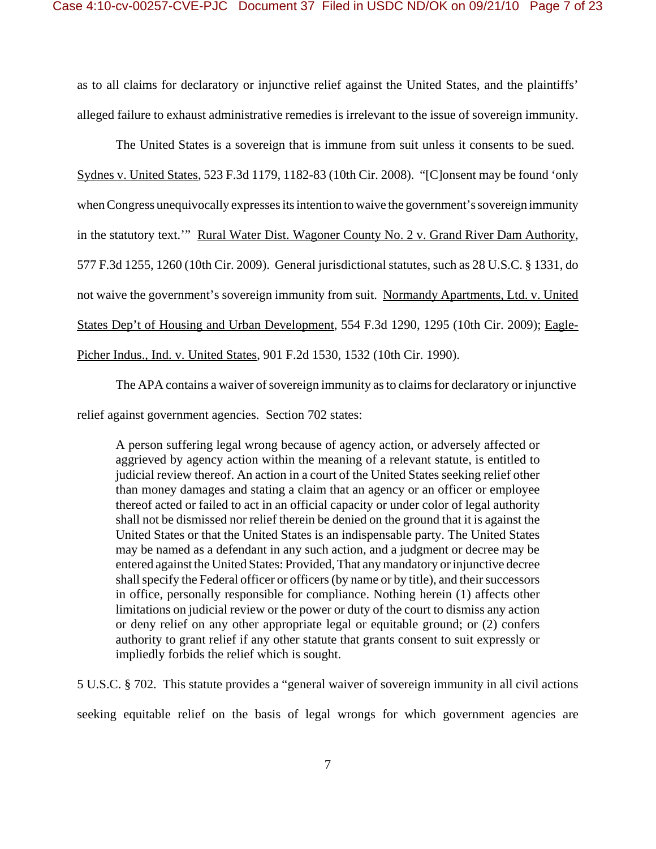as to all claims for declaratory or injunctive relief against the United States, and the plaintiffs' alleged failure to exhaust administrative remedies is irrelevant to the issue of sovereign immunity.

The United States is a sovereign that is immune from suit unless it consents to be sued. Sydnes v. United States, 523 F.3d 1179, 1182-83 (10th Cir. 2008). "[C]onsent may be found 'only when Congress unequivocally expresses its intention to waive the government's sovereign immunity in the statutory text.'" Rural Water Dist. Wagoner County No. 2 v. Grand River Dam Authority, 577 F.3d 1255, 1260 (10th Cir. 2009). General jurisdictional statutes, such as 28 U.S.C. § 1331, do not waive the government's sovereign immunity from suit. Normandy Apartments, Ltd. v. United States Dep't of Housing and Urban Development, 554 F.3d 1290, 1295 (10th Cir. 2009); Eagle-Picher Indus., Ind. v. United States, 901 F.2d 1530, 1532 (10th Cir. 1990).

The APA contains a waiver of sovereign immunity as to claims for declaratory or injunctive relief against government agencies. Section 702 states:

A person suffering legal wrong because of agency action, or adversely affected or aggrieved by agency action within the meaning of a relevant statute, is entitled to judicial review thereof. An action in a court of the United States seeking relief other than money damages and stating a claim that an agency or an officer or employee thereof acted or failed to act in an official capacity or under color of legal authority shall not be dismissed nor relief therein be denied on the ground that it is against the United States or that the United States is an indispensable party. The United States may be named as a defendant in any such action, and a judgment or decree may be entered against the United States: Provided, That any mandatory or injunctive decree shall specify the Federal officer or officers (by name or by title), and their successors in office, personally responsible for compliance. Nothing herein (1) affects other limitations on judicial review or the power or duty of the court to dismiss any action or deny relief on any other appropriate legal or equitable ground; or (2) confers authority to grant relief if any other statute that grants consent to suit expressly or impliedly forbids the relief which is sought.

5 U.S.C. § 702. This statute provides a "general waiver of sovereign immunity in all civil actions seeking equitable relief on the basis of legal wrongs for which government agencies are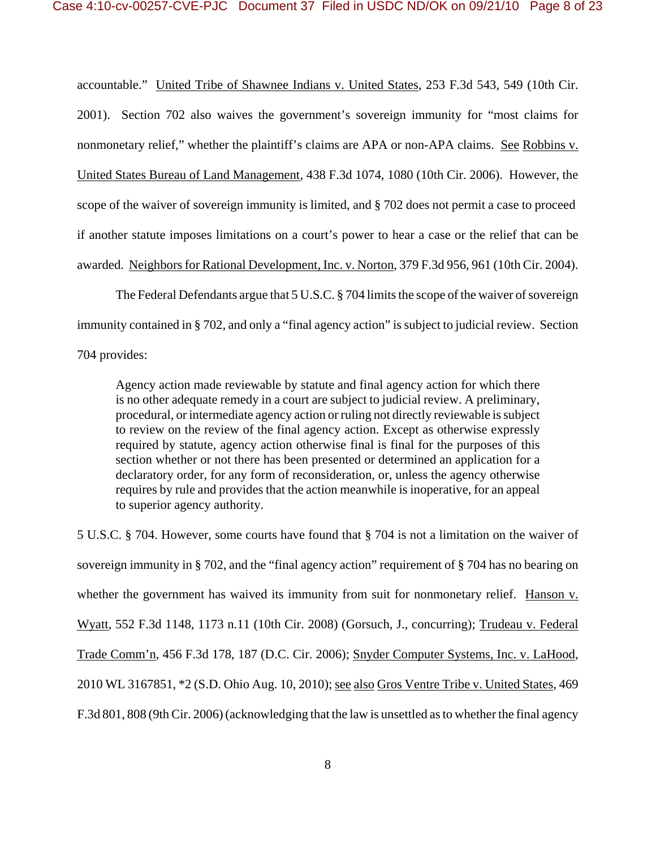accountable." United Tribe of Shawnee Indians v. United States, 253 F.3d 543, 549 (10th Cir. 2001). Section 702 also waives the government's sovereign immunity for "most claims for nonmonetary relief," whether the plaintiff's claims are APA or non-APA claims. See Robbins v. United States Bureau of Land Management, 438 F.3d 1074, 1080 (10th Cir. 2006). However, the scope of the waiver of sovereign immunity is limited, and § 702 does not permit a case to proceed if another statute imposes limitations on a court's power to hear a case or the relief that can be awarded. Neighbors for Rational Development, Inc. v. Norton, 379 F.3d 956, 961 (10th Cir. 2004).

The Federal Defendants argue that 5 U.S.C. § 704 limits the scope of the waiver of sovereign immunity contained in § 702, and only a "final agency action" is subject to judicial review. Section 704 provides:

Agency action made reviewable by statute and final agency action for which there is no other adequate remedy in a court are subject to judicial review. A preliminary, procedural, or intermediate agency action or ruling not directly reviewable is subject to review on the review of the final agency action. Except as otherwise expressly required by statute, agency action otherwise final is final for the purposes of this section whether or not there has been presented or determined an application for a declaratory order, for any form of reconsideration, or, unless the agency otherwise requires by rule and provides that the action meanwhile is inoperative, for an appeal to superior agency authority.

5 U.S.C. § 704. However, some courts have found that § 704 is not a limitation on the waiver of sovereign immunity in § 702, and the "final agency action" requirement of § 704 has no bearing on whether the government has waived its immunity from suit for nonmonetary relief. Hanson v. Wyatt, 552 F.3d 1148, 1173 n.11 (10th Cir. 2008) (Gorsuch, J., concurring); Trudeau v. Federal Trade Comm'n, 456 F.3d 178, 187 (D.C. Cir. 2006); Snyder Computer Systems, Inc. v. LaHood, 2010 WL 3167851, \*2 (S.D. Ohio Aug. 10, 2010); see also Gros Ventre Tribe v. United States, 469 F.3d 801, 808 (9th Cir. 2006) (acknowledging that the law is unsettled as to whether the final agency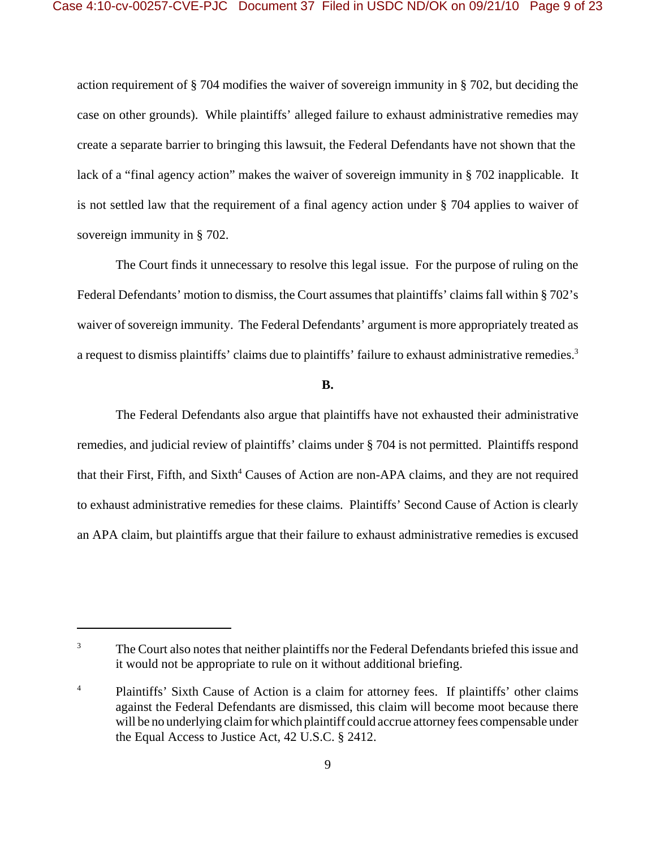action requirement of § 704 modifies the waiver of sovereign immunity in § 702, but deciding the case on other grounds). While plaintiffs' alleged failure to exhaust administrative remedies may create a separate barrier to bringing this lawsuit, the Federal Defendants have not shown that the lack of a "final agency action" makes the waiver of sovereign immunity in § 702 inapplicable. It is not settled law that the requirement of a final agency action under § 704 applies to waiver of sovereign immunity in § 702.

The Court finds it unnecessary to resolve this legal issue. For the purpose of ruling on the Federal Defendants' motion to dismiss, the Court assumes that plaintiffs' claims fall within § 702's waiver of sovereign immunity. The Federal Defendants' argument is more appropriately treated as a request to dismiss plaintiffs' claims due to plaintiffs' failure to exhaust administrative remedies.<sup>3</sup>

**B.**

The Federal Defendants also argue that plaintiffs have not exhausted their administrative remedies, and judicial review of plaintiffs' claims under § 704 is not permitted. Plaintiffs respond that their First, Fifth, and Sixth<sup>4</sup> Causes of Action are non-APA claims, and they are not required to exhaust administrative remedies for these claims. Plaintiffs' Second Cause of Action is clearly an APA claim, but plaintiffs argue that their failure to exhaust administrative remedies is excused

<sup>&</sup>lt;sup>3</sup> The Court also notes that neither plaintiffs nor the Federal Defendants briefed this issue and it would not be appropriate to rule on it without additional briefing.

<sup>&</sup>lt;sup>4</sup> Plaintiffs' Sixth Cause of Action is a claim for attorney fees. If plaintiffs' other claims against the Federal Defendants are dismissed, this claim will become moot because there will be no underlying claim for which plaintiff could accrue attorney fees compensable under the Equal Access to Justice Act, 42 U.S.C. § 2412.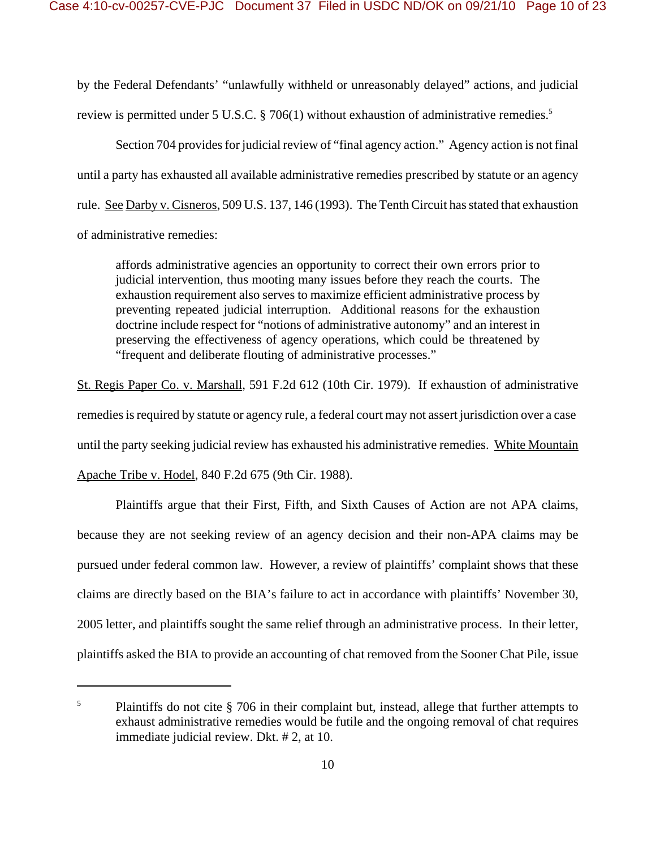by the Federal Defendants' "unlawfully withheld or unreasonably delayed" actions, and judicial review is permitted under 5 U.S.C. § 706(1) without exhaustion of administrative remedies.<sup>5</sup>

Section 704 provides for judicial review of "final agency action." Agency action is not final until a party has exhausted all available administrative remedies prescribed by statute or an agency rule. See Darby v. Cisneros, 509 U.S. 137, 146 (1993). The Tenth Circuit has stated that exhaustion of administrative remedies:

affords administrative agencies an opportunity to correct their own errors prior to judicial intervention, thus mooting many issues before they reach the courts. The exhaustion requirement also serves to maximize efficient administrative process by preventing repeated judicial interruption. Additional reasons for the exhaustion doctrine include respect for "notions of administrative autonomy" and an interest in preserving the effectiveness of agency operations, which could be threatened by "frequent and deliberate flouting of administrative processes."

St. Regis Paper Co. v. Marshall, 591 F.2d 612 (10th Cir. 1979). If exhaustion of administrative remedies is required by statute or agency rule, a federal court may not assert jurisdiction over a case until the party seeking judicial review has exhausted his administrative remedies. White Mountain Apache Tribe v. Hodel, 840 F.2d 675 (9th Cir. 1988).

Plaintiffs argue that their First, Fifth, and Sixth Causes of Action are not APA claims, because they are not seeking review of an agency decision and their non-APA claims may be pursued under federal common law. However, a review of plaintiffs' complaint shows that these claims are directly based on the BIA's failure to act in accordance with plaintiffs' November 30, 2005 letter, and plaintiffs sought the same relief through an administrative process. In their letter, plaintiffs asked the BIA to provide an accounting of chat removed from the Sooner Chat Pile, issue

 $5$  Plaintiffs do not cite  $\S$  706 in their complaint but, instead, allege that further attempts to exhaust administrative remedies would be futile and the ongoing removal of chat requires immediate judicial review. Dkt. # 2, at 10.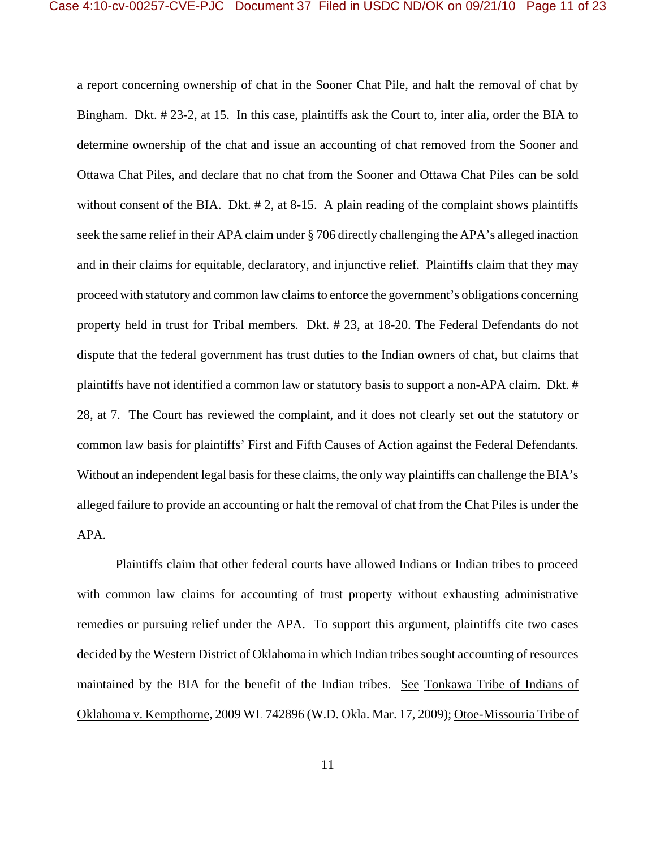a report concerning ownership of chat in the Sooner Chat Pile, and halt the removal of chat by Bingham. Dkt. # 23-2, at 15. In this case, plaintiffs ask the Court to, inter alia, order the BIA to determine ownership of the chat and issue an accounting of chat removed from the Sooner and Ottawa Chat Piles, and declare that no chat from the Sooner and Ottawa Chat Piles can be sold without consent of the BIA. Dkt. #2, at 8-15. A plain reading of the complaint shows plaintiffs seek the same relief in their APA claim under § 706 directly challenging the APA's alleged inaction and in their claims for equitable, declaratory, and injunctive relief. Plaintiffs claim that they may proceed with statutory and common law claims to enforce the government's obligations concerning property held in trust for Tribal members. Dkt. # 23, at 18-20. The Federal Defendants do not dispute that the federal government has trust duties to the Indian owners of chat, but claims that plaintiffs have not identified a common law or statutory basis to support a non-APA claim. Dkt. # 28, at 7. The Court has reviewed the complaint, and it does not clearly set out the statutory or common law basis for plaintiffs' First and Fifth Causes of Action against the Federal Defendants. Without an independent legal basis for these claims, the only way plaintiffs can challenge the BIA's alleged failure to provide an accounting or halt the removal of chat from the Chat Piles is under the APA.

Plaintiffs claim that other federal courts have allowed Indians or Indian tribes to proceed with common law claims for accounting of trust property without exhausting administrative remedies or pursuing relief under the APA. To support this argument, plaintiffs cite two cases decided by the Western District of Oklahoma in which Indian tribes sought accounting of resources maintained by the BIA for the benefit of the Indian tribes. See Tonkawa Tribe of Indians of Oklahoma v. Kempthorne, 2009 WL 742896 (W.D. Okla. Mar. 17, 2009); Otoe-Missouria Tribe of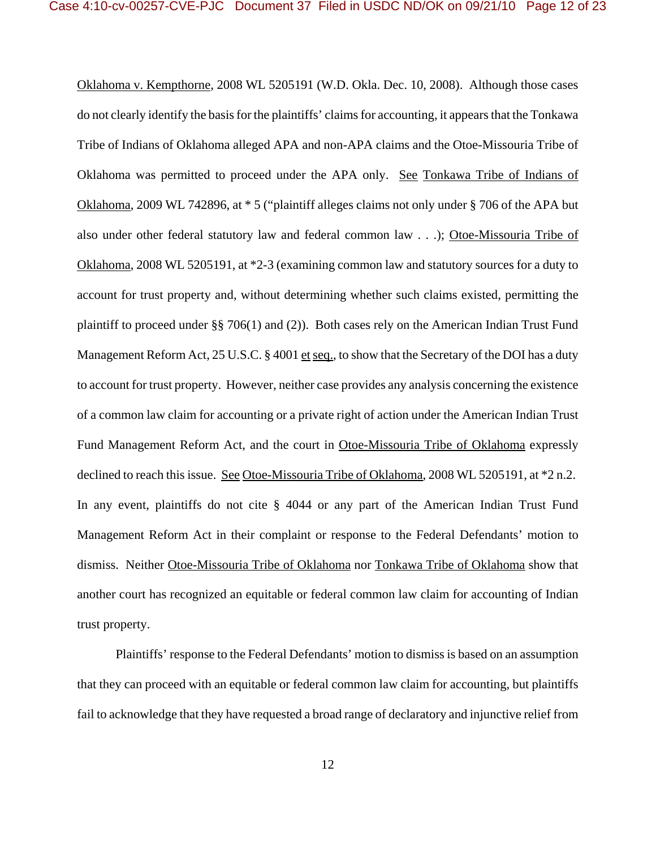Oklahoma v. Kempthorne, 2008 WL 5205191 (W.D. Okla. Dec. 10, 2008). Although those cases do not clearly identify the basis for the plaintiffs' claims for accounting, it appears that the Tonkawa Tribe of Indians of Oklahoma alleged APA and non-APA claims and the Otoe-Missouria Tribe of Oklahoma was permitted to proceed under the APA only. See Tonkawa Tribe of Indians of Oklahoma, 2009 WL 742896, at \* 5 ("plaintiff alleges claims not only under § 706 of the APA but also under other federal statutory law and federal common law . . .); Otoe-Missouria Tribe of Oklahoma, 2008 WL 5205191, at \*2-3 (examining common law and statutory sources for a duty to account for trust property and, without determining whether such claims existed, permitting the plaintiff to proceed under §§ 706(1) and (2)). Both cases rely on the American Indian Trust Fund Management Reform Act, 25 U.S.C. § 4001 et seq., to show that the Secretary of the DOI has a duty to account for trust property. However, neither case provides any analysis concerning the existence of a common law claim for accounting or a private right of action under the American Indian Trust Fund Management Reform Act, and the court in Otoe-Missouria Tribe of Oklahoma expressly declined to reach this issue. See Otoe-Missouria Tribe of Oklahoma, 2008 WL 5205191, at \*2 n.2. In any event, plaintiffs do not cite § 4044 or any part of the American Indian Trust Fund Management Reform Act in their complaint or response to the Federal Defendants' motion to dismiss. Neither Otoe-Missouria Tribe of Oklahoma nor Tonkawa Tribe of Oklahoma show that another court has recognized an equitable or federal common law claim for accounting of Indian trust property.

Plaintiffs' response to the Federal Defendants' motion to dismiss is based on an assumption that they can proceed with an equitable or federal common law claim for accounting, but plaintiffs fail to acknowledge that they have requested a broad range of declaratory and injunctive relief from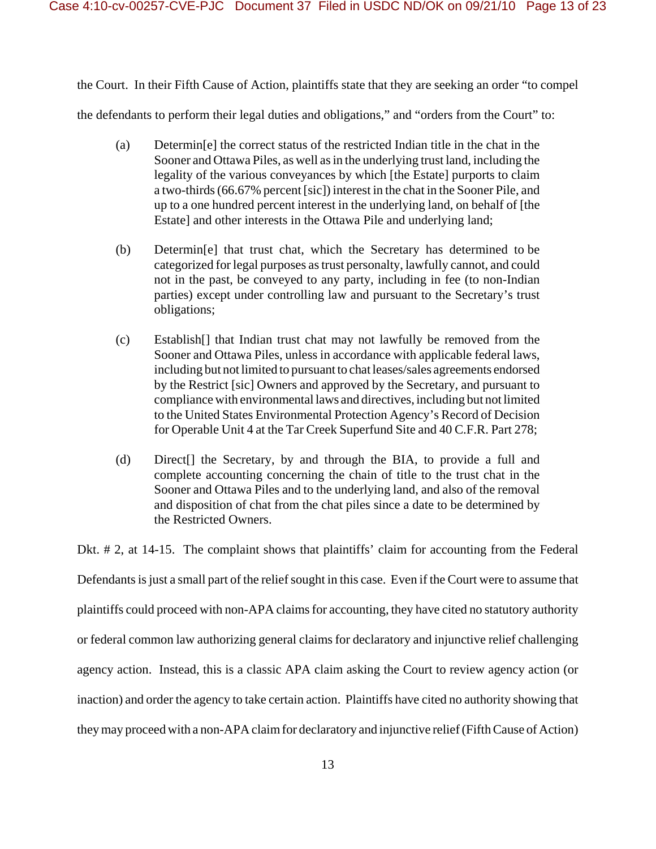the Court. In their Fifth Cause of Action, plaintiffs state that they are seeking an order "to compel

the defendants to perform their legal duties and obligations," and "orders from the Court" to:

- (a) Determin[e] the correct status of the restricted Indian title in the chat in the Sooner and Ottawa Piles, as well as in the underlying trust land, including the legality of the various conveyances by which [the Estate] purports to claim a two-thirds (66.67% percent [sic]) interest in the chat in the Sooner Pile, and up to a one hundred percent interest in the underlying land, on behalf of [the Estate] and other interests in the Ottawa Pile and underlying land;
- (b) Determin[e] that trust chat, which the Secretary has determined to be categorized for legal purposes as trust personalty, lawfully cannot, and could not in the past, be conveyed to any party, including in fee (to non-Indian parties) except under controlling law and pursuant to the Secretary's trust obligations;
- (c) Establish[] that Indian trust chat may not lawfully be removed from the Sooner and Ottawa Piles, unless in accordance with applicable federal laws, including but not limited to pursuant to chat leases/sales agreements endorsed by the Restrict [sic] Owners and approved by the Secretary, and pursuant to compliance with environmental laws and directives, including but not limited to the United States Environmental Protection Agency's Record of Decision for Operable Unit 4 at the Tar Creek Superfund Site and 40 C.F.R. Part 278;
- (d) Direct[] the Secretary, by and through the BIA, to provide a full and complete accounting concerning the chain of title to the trust chat in the Sooner and Ottawa Piles and to the underlying land, and also of the removal and disposition of chat from the chat piles since a date to be determined by the Restricted Owners.

Dkt. # 2, at 14-15. The complaint shows that plaintiffs' claim for accounting from the Federal Defendants is just a small part of the relief sought in this case. Even if the Court were to assume that plaintiffs could proceed with non-APA claims for accounting, they have cited no statutory authority or federal common law authorizing general claims for declaratory and injunctive relief challenging agency action. Instead, this is a classic APA claim asking the Court to review agency action (or inaction) and order the agency to take certain action. Plaintiffs have cited no authority showing that they may proceed with a non-APA claim for declaratory and injunctive relief (Fifth Cause of Action)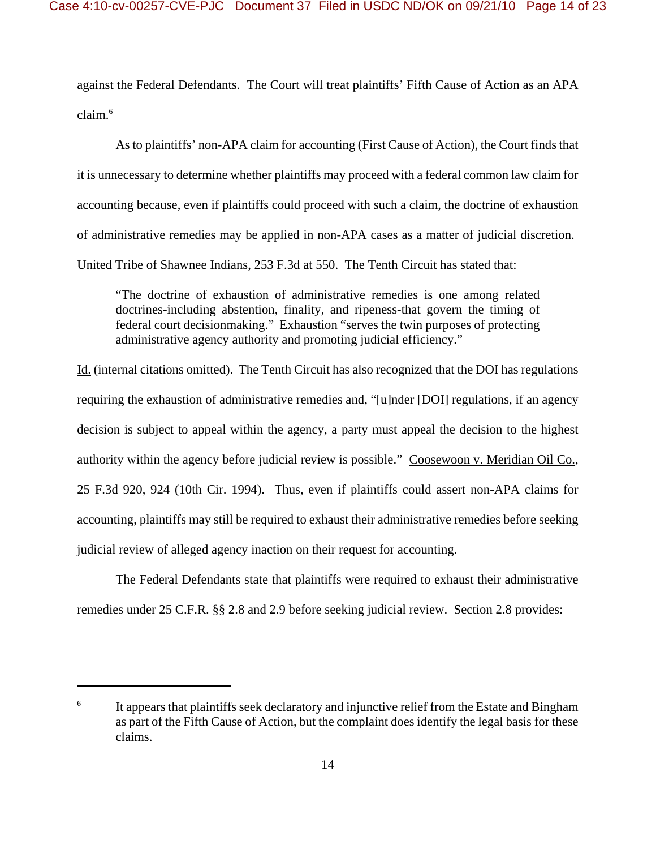against the Federal Defendants. The Court will treat plaintiffs' Fifth Cause of Action as an APA claim.6

As to plaintiffs' non-APA claim for accounting (First Cause of Action), the Court finds that it is unnecessary to determine whether plaintiffs may proceed with a federal common law claim for accounting because, even if plaintiffs could proceed with such a claim, the doctrine of exhaustion of administrative remedies may be applied in non-APA cases as a matter of judicial discretion. United Tribe of Shawnee Indians, 253 F.3d at 550. The Tenth Circuit has stated that:

"The doctrine of exhaustion of administrative remedies is one among related doctrines-including abstention, finality, and ripeness-that govern the timing of federal court decisionmaking." Exhaustion "serves the twin purposes of protecting administrative agency authority and promoting judicial efficiency."

Id. (internal citations omitted). The Tenth Circuit has also recognized that the DOI has regulations requiring the exhaustion of administrative remedies and, "[u]nder [DOI] regulations, if an agency decision is subject to appeal within the agency, a party must appeal the decision to the highest authority within the agency before judicial review is possible." Coosewoon v. Meridian Oil Co., 25 F.3d 920, 924 (10th Cir. 1994). Thus, even if plaintiffs could assert non-APA claims for accounting, plaintiffs may still be required to exhaust their administrative remedies before seeking judicial review of alleged agency inaction on their request for accounting.

The Federal Defendants state that plaintiffs were required to exhaust their administrative remedies under 25 C.F.R. §§ 2.8 and 2.9 before seeking judicial review. Section 2.8 provides:

<sup>&</sup>lt;sup>6</sup> It appears that plaintiffs seek declaratory and injunctive relief from the Estate and Bingham as part of the Fifth Cause of Action, but the complaint does identify the legal basis for these claims.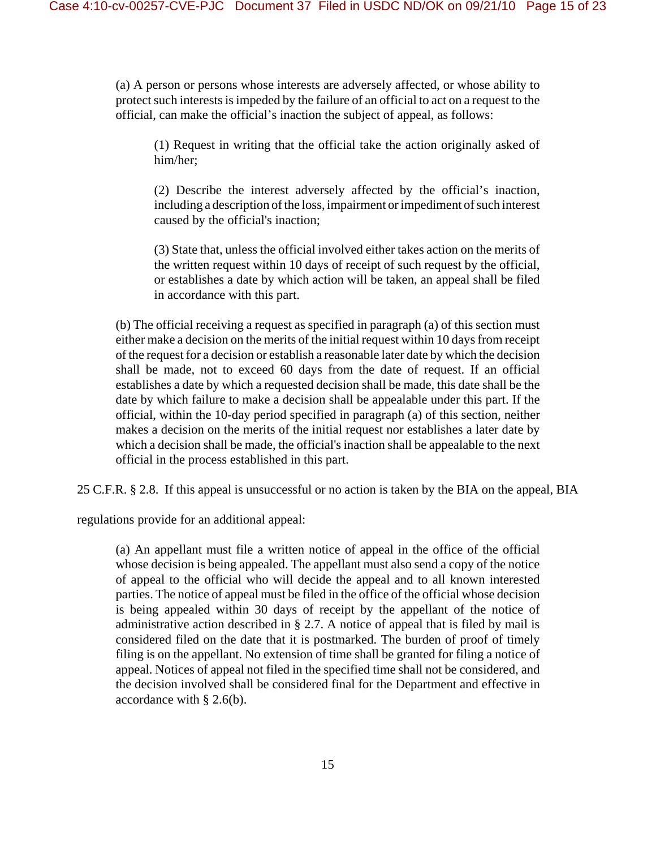(a) A person or persons whose interests are adversely affected, or whose ability to protect such interests is impeded by the failure of an official to act on a request to the official, can make the official's inaction the subject of appeal, as follows:

(1) Request in writing that the official take the action originally asked of him/her;

(2) Describe the interest adversely affected by the official's inaction, including a description of the loss, impairment or impediment of such interest caused by the official's inaction;

(3) State that, unless the official involved either takes action on the merits of the written request within 10 days of receipt of such request by the official, or establishes a date by which action will be taken, an appeal shall be filed in accordance with this part.

(b) The official receiving a request as specified in paragraph (a) of this section must either make a decision on the merits of the initial request within 10 days from receipt of the request for a decision or establish a reasonable later date by which the decision shall be made, not to exceed 60 days from the date of request. If an official establishes a date by which a requested decision shall be made, this date shall be the date by which failure to make a decision shall be appealable under this part. If the official, within the 10-day period specified in paragraph (a) of this section, neither makes a decision on the merits of the initial request nor establishes a later date by which a decision shall be made, the official's inaction shall be appealable to the next official in the process established in this part.

25 C.F.R. § 2.8. If this appeal is unsuccessful or no action is taken by the BIA on the appeal, BIA

regulations provide for an additional appeal:

(a) An appellant must file a written notice of appeal in the office of the official whose decision is being appealed. The appellant must also send a copy of the notice of appeal to the official who will decide the appeal and to all known interested parties. The notice of appeal must be filed in the office of the official whose decision is being appealed within 30 days of receipt by the appellant of the notice of administrative action described in § 2.7. A notice of appeal that is filed by mail is considered filed on the date that it is postmarked. The burden of proof of timely filing is on the appellant. No extension of time shall be granted for filing a notice of appeal. Notices of appeal not filed in the specified time shall not be considered, and the decision involved shall be considered final for the Department and effective in accordance with § 2.6(b).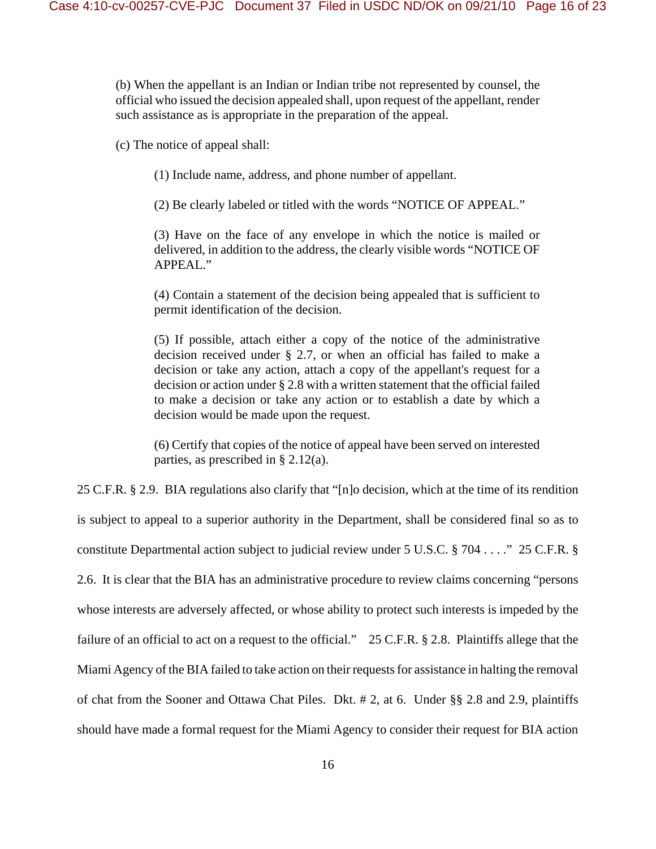(b) When the appellant is an Indian or Indian tribe not represented by counsel, the official who issued the decision appealed shall, upon request of the appellant, render such assistance as is appropriate in the preparation of the appeal.

(c) The notice of appeal shall:

(1) Include name, address, and phone number of appellant.

(2) Be clearly labeled or titled with the words "NOTICE OF APPEAL."

(3) Have on the face of any envelope in which the notice is mailed or delivered, in addition to the address, the clearly visible words "NOTICE OF APPEAL."

(4) Contain a statement of the decision being appealed that is sufficient to permit identification of the decision.

(5) If possible, attach either a copy of the notice of the administrative decision received under § 2.7, or when an official has failed to make a decision or take any action, attach a copy of the appellant's request for a decision or action under § 2.8 with a written statement that the official failed to make a decision or take any action or to establish a date by which a decision would be made upon the request.

(6) Certify that copies of the notice of appeal have been served on interested parties, as prescribed in § 2.12(a).

25 C.F.R. § 2.9. BIA regulations also clarify that "[n]o decision, which at the time of its rendition is subject to appeal to a superior authority in the Department, shall be considered final so as to constitute Departmental action subject to judicial review under 5 U.S.C. § 704 . . . ." 25 C.F.R. § 2.6. It is clear that the BIA has an administrative procedure to review claims concerning "persons whose interests are adversely affected, or whose ability to protect such interests is impeded by the failure of an official to act on a request to the official." 25 C.F.R. § 2.8. Plaintiffs allege that the Miami Agency of the BIA failed to take action on their requests for assistance in halting the removal of chat from the Sooner and Ottawa Chat Piles. Dkt. # 2, at 6. Under §§ 2.8 and 2.9, plaintiffs should have made a formal request for the Miami Agency to consider their request for BIA action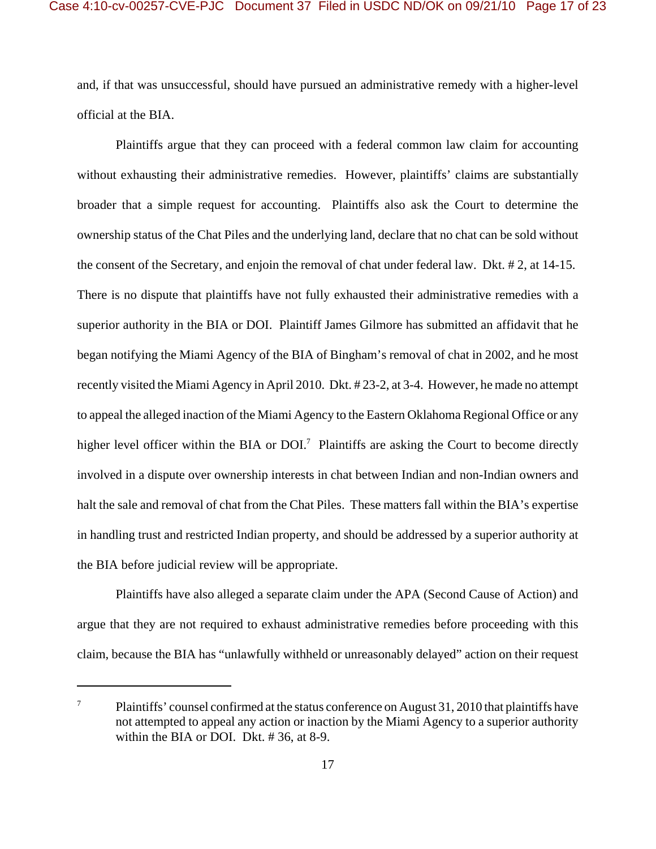and, if that was unsuccessful, should have pursued an administrative remedy with a higher-level official at the BIA.

Plaintiffs argue that they can proceed with a federal common law claim for accounting without exhausting their administrative remedies. However, plaintiffs' claims are substantially broader that a simple request for accounting. Plaintiffs also ask the Court to determine the ownership status of the Chat Piles and the underlying land, declare that no chat can be sold without the consent of the Secretary, and enjoin the removal of chat under federal law. Dkt. # 2, at 14-15. There is no dispute that plaintiffs have not fully exhausted their administrative remedies with a superior authority in the BIA or DOI. Plaintiff James Gilmore has submitted an affidavit that he began notifying the Miami Agency of the BIA of Bingham's removal of chat in 2002, and he most recently visited the Miami Agency in April 2010. Dkt. # 23-2, at 3-4. However, he made no attempt to appeal the alleged inaction of the Miami Agency to the Eastern Oklahoma Regional Office or any higher level officer within the BIA or  $D/I$ <sup>7</sup> Plaintiffs are asking the Court to become directly involved in a dispute over ownership interests in chat between Indian and non-Indian owners and halt the sale and removal of chat from the Chat Piles. These matters fall within the BIA's expertise in handling trust and restricted Indian property, and should be addressed by a superior authority at the BIA before judicial review will be appropriate.

Plaintiffs have also alleged a separate claim under the APA (Second Cause of Action) and argue that they are not required to exhaust administrative remedies before proceeding with this claim, because the BIA has "unlawfully withheld or unreasonably delayed" action on their request

<sup>&</sup>lt;sup>7</sup> Plaintiffs' counsel confirmed at the status conference on August 31, 2010 that plaintiffs have not attempted to appeal any action or inaction by the Miami Agency to a superior authority within the BIA or DOI. Dkt. # 36, at 8-9.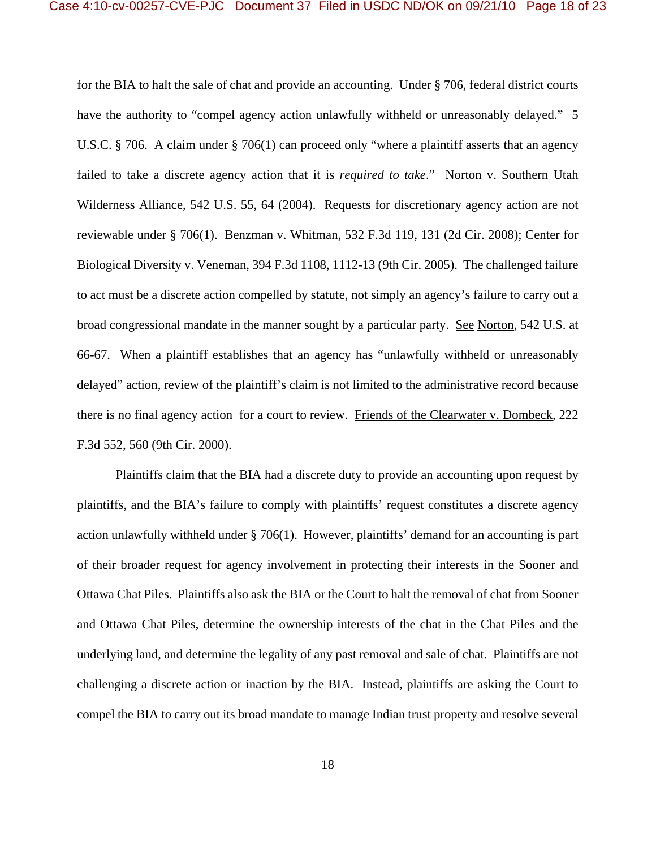for the BIA to halt the sale of chat and provide an accounting. Under § 706, federal district courts have the authority to "compel agency action unlawfully withheld or unreasonably delayed." 5 U.S.C. § 706. A claim under § 706(1) can proceed only "where a plaintiff asserts that an agency failed to take a discrete agency action that it is *required to take*." Norton v. Southern Utah Wilderness Alliance, 542 U.S. 55, 64 (2004). Requests for discretionary agency action are not reviewable under § 706(1). Benzman v. Whitman, 532 F.3d 119, 131 (2d Cir. 2008); Center for Biological Diversity v. Veneman, 394 F.3d 1108, 1112-13 (9th Cir. 2005). The challenged failure to act must be a discrete action compelled by statute, not simply an agency's failure to carry out a broad congressional mandate in the manner sought by a particular party. See Norton, 542 U.S. at 66-67. When a plaintiff establishes that an agency has "unlawfully withheld or unreasonably delayed" action, review of the plaintiff's claim is not limited to the administrative record because there is no final agency action for a court to review. Friends of the Clearwater v. Dombeck, 222 F.3d 552, 560 (9th Cir. 2000).

Plaintiffs claim that the BIA had a discrete duty to provide an accounting upon request by plaintiffs, and the BIA's failure to comply with plaintiffs' request constitutes a discrete agency action unlawfully withheld under § 706(1). However, plaintiffs' demand for an accounting is part of their broader request for agency involvement in protecting their interests in the Sooner and Ottawa Chat Piles. Plaintiffs also ask the BIA or the Court to halt the removal of chat from Sooner and Ottawa Chat Piles, determine the ownership interests of the chat in the Chat Piles and the underlying land, and determine the legality of any past removal and sale of chat. Plaintiffs are not challenging a discrete action or inaction by the BIA. Instead, plaintiffs are asking the Court to compel the BIA to carry out its broad mandate to manage Indian trust property and resolve several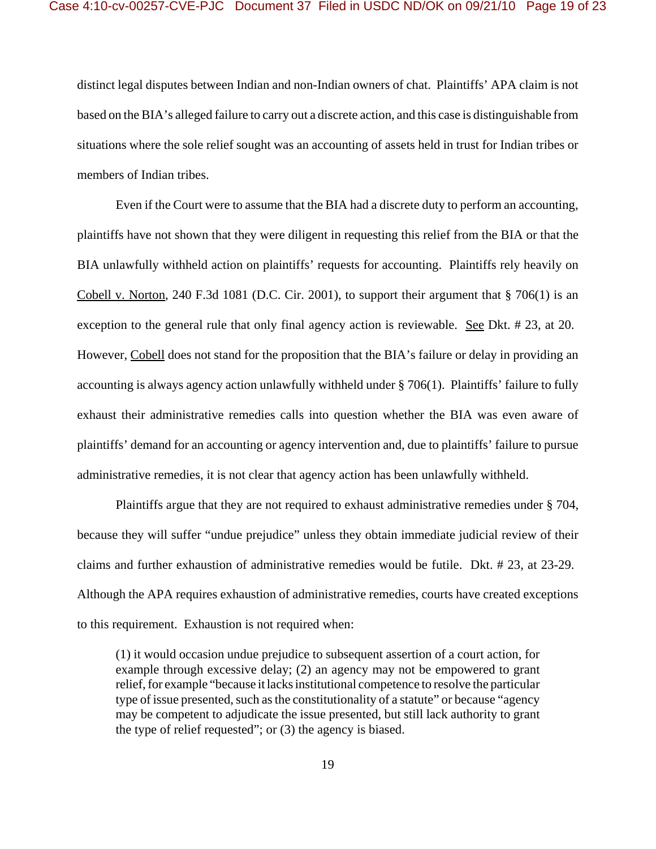distinct legal disputes between Indian and non-Indian owners of chat. Plaintiffs' APA claim is not based on the BIA's alleged failure to carry out a discrete action, and this case is distinguishable from situations where the sole relief sought was an accounting of assets held in trust for Indian tribes or members of Indian tribes.

Even if the Court were to assume that the BIA had a discrete duty to perform an accounting, plaintiffs have not shown that they were diligent in requesting this relief from the BIA or that the BIA unlawfully withheld action on plaintiffs' requests for accounting. Plaintiffs rely heavily on Cobell v. Norton, 240 F.3d 1081 (D.C. Cir. 2001), to support their argument that § 706(1) is an exception to the general rule that only final agency action is reviewable. See Dkt. # 23, at 20. However, Cobell does not stand for the proposition that the BIA's failure or delay in providing an accounting is always agency action unlawfully withheld under § 706(1). Plaintiffs' failure to fully exhaust their administrative remedies calls into question whether the BIA was even aware of plaintiffs' demand for an accounting or agency intervention and, due to plaintiffs' failure to pursue administrative remedies, it is not clear that agency action has been unlawfully withheld.

Plaintiffs argue that they are not required to exhaust administrative remedies under § 704, because they will suffer "undue prejudice" unless they obtain immediate judicial review of their claims and further exhaustion of administrative remedies would be futile. Dkt. # 23, at 23-29. Although the APA requires exhaustion of administrative remedies, courts have created exceptions to this requirement. Exhaustion is not required when:

(1) it would occasion undue prejudice to subsequent assertion of a court action, for example through excessive delay; (2) an agency may not be empowered to grant relief, for example "because it lacks institutional competence to resolve the particular type of issue presented, such as the constitutionality of a statute" or because "agency may be competent to adjudicate the issue presented, but still lack authority to grant the type of relief requested"; or (3) the agency is biased.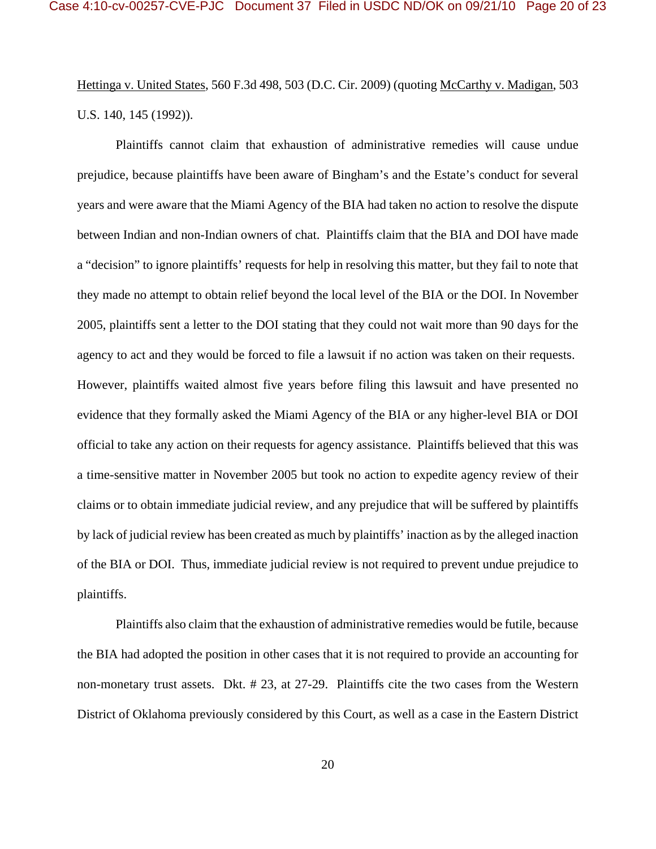Hettinga v. United States, 560 F.3d 498, 503 (D.C. Cir. 2009) (quoting McCarthy v. Madigan, 503 U.S. 140, 145 (1992)).

Plaintiffs cannot claim that exhaustion of administrative remedies will cause undue prejudice, because plaintiffs have been aware of Bingham's and the Estate's conduct for several years and were aware that the Miami Agency of the BIA had taken no action to resolve the dispute between Indian and non-Indian owners of chat. Plaintiffs claim that the BIA and DOI have made a "decision" to ignore plaintiffs' requests for help in resolving this matter, but they fail to note that they made no attempt to obtain relief beyond the local level of the BIA or the DOI. In November 2005, plaintiffs sent a letter to the DOI stating that they could not wait more than 90 days for the agency to act and they would be forced to file a lawsuit if no action was taken on their requests. However, plaintiffs waited almost five years before filing this lawsuit and have presented no evidence that they formally asked the Miami Agency of the BIA or any higher-level BIA or DOI official to take any action on their requests for agency assistance. Plaintiffs believed that this was a time-sensitive matter in November 2005 but took no action to expedite agency review of their claims or to obtain immediate judicial review, and any prejudice that will be suffered by plaintiffs by lack of judicial review has been created as much by plaintiffs' inaction as by the alleged inaction of the BIA or DOI. Thus, immediate judicial review is not required to prevent undue prejudice to plaintiffs.

Plaintiffs also claim that the exhaustion of administrative remedies would be futile, because the BIA had adopted the position in other cases that it is not required to provide an accounting for non-monetary trust assets. Dkt. # 23, at 27-29. Plaintiffs cite the two cases from the Western District of Oklahoma previously considered by this Court, as well as a case in the Eastern District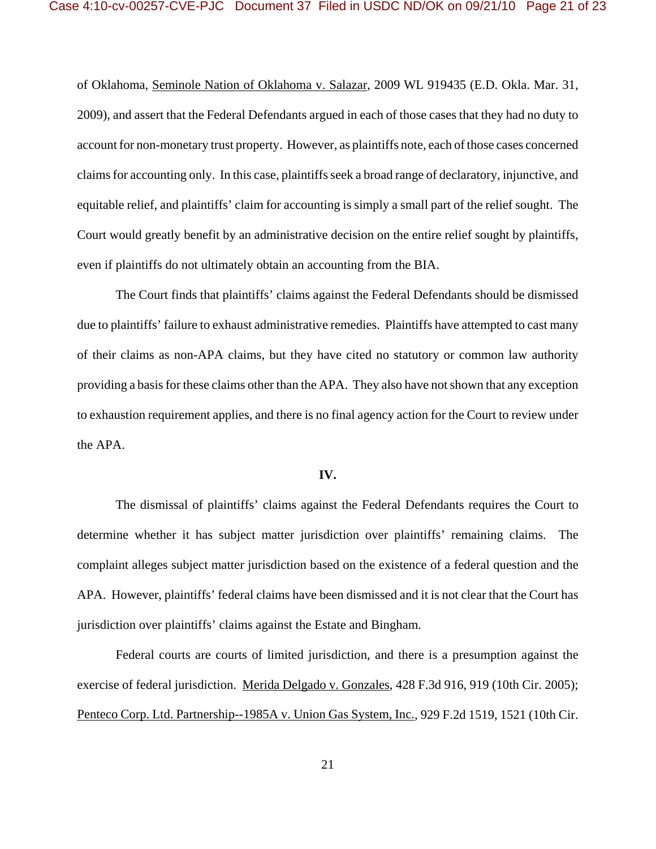of Oklahoma, Seminole Nation of Oklahoma v. Salazar, 2009 WL 919435 (E.D. Okla. Mar. 31, 2009), and assert that the Federal Defendants argued in each of those cases that they had no duty to account for non-monetary trust property. However, as plaintiffs note, each of those cases concerned claims for accounting only. In this case, plaintiffs seek a broad range of declaratory, injunctive, and equitable relief, and plaintiffs' claim for accounting is simply a small part of the relief sought. The Court would greatly benefit by an administrative decision on the entire relief sought by plaintiffs, even if plaintiffs do not ultimately obtain an accounting from the BIA.

The Court finds that plaintiffs' claims against the Federal Defendants should be dismissed due to plaintiffs' failure to exhaust administrative remedies. Plaintiffs have attempted to cast many of their claims as non-APA claims, but they have cited no statutory or common law authority providing a basis for these claims other than the APA. They also have not shown that any exception to exhaustion requirement applies, and there is no final agency action for the Court to review under the APA.

### **IV.**

The dismissal of plaintiffs' claims against the Federal Defendants requires the Court to determine whether it has subject matter jurisdiction over plaintiffs' remaining claims. The complaint alleges subject matter jurisdiction based on the existence of a federal question and the APA. However, plaintiffs' federal claims have been dismissed and it is not clear that the Court has jurisdiction over plaintiffs' claims against the Estate and Bingham.

Federal courts are courts of limited jurisdiction, and there is a presumption against the exercise of federal jurisdiction. Merida Delgado v. Gonzales, 428 F.3d 916, 919 (10th Cir. 2005); Penteco Corp. Ltd. Partnership--1985A v. Union Gas System, Inc., 929 F.2d 1519, 1521 (10th Cir.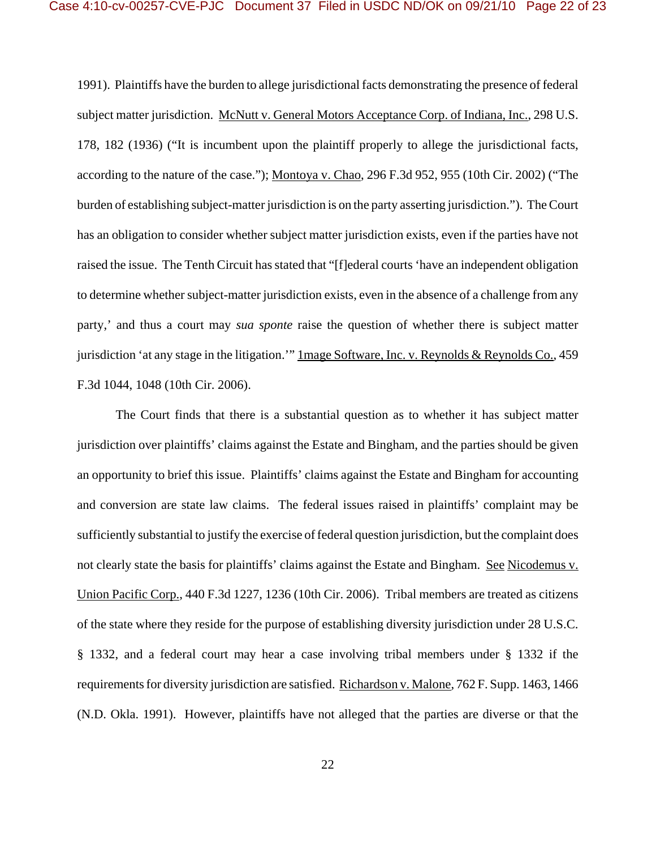1991). Plaintiffs have the burden to allege jurisdictional facts demonstrating the presence of federal subject matter jurisdiction. McNutt v. General Motors Acceptance Corp. of Indiana, Inc., 298 U.S. 178, 182 (1936) ("It is incumbent upon the plaintiff properly to allege the jurisdictional facts, according to the nature of the case."); Montoya v. Chao, 296 F.3d 952, 955 (10th Cir. 2002) ("The burden of establishing subject-matter jurisdiction is on the party asserting jurisdiction."). The Court has an obligation to consider whether subject matter jurisdiction exists, even if the parties have not raised the issue. The Tenth Circuit has stated that "[f]ederal courts 'have an independent obligation to determine whether subject-matter jurisdiction exists, even in the absence of a challenge from any party,' and thus a court may *sua sponte* raise the question of whether there is subject matter jurisdiction 'at any stage in the litigation.'" 1mage Software, Inc. v. Reynolds & Reynolds Co., 459 F.3d 1044, 1048 (10th Cir. 2006).

The Court finds that there is a substantial question as to whether it has subject matter jurisdiction over plaintiffs' claims against the Estate and Bingham, and the parties should be given an opportunity to brief this issue. Plaintiffs' claims against the Estate and Bingham for accounting and conversion are state law claims. The federal issues raised in plaintiffs' complaint may be sufficiently substantial to justify the exercise of federal question jurisdiction, but the complaint does not clearly state the basis for plaintiffs' claims against the Estate and Bingham. See Nicodemus v. Union Pacific Corp., 440 F.3d 1227, 1236 (10th Cir. 2006). Tribal members are treated as citizens of the state where they reside for the purpose of establishing diversity jurisdiction under 28 U.S.C. § 1332, and a federal court may hear a case involving tribal members under § 1332 if the requirements for diversity jurisdiction are satisfied. Richardson v. Malone, 762 F. Supp. 1463, 1466 (N.D. Okla. 1991). However, plaintiffs have not alleged that the parties are diverse or that the